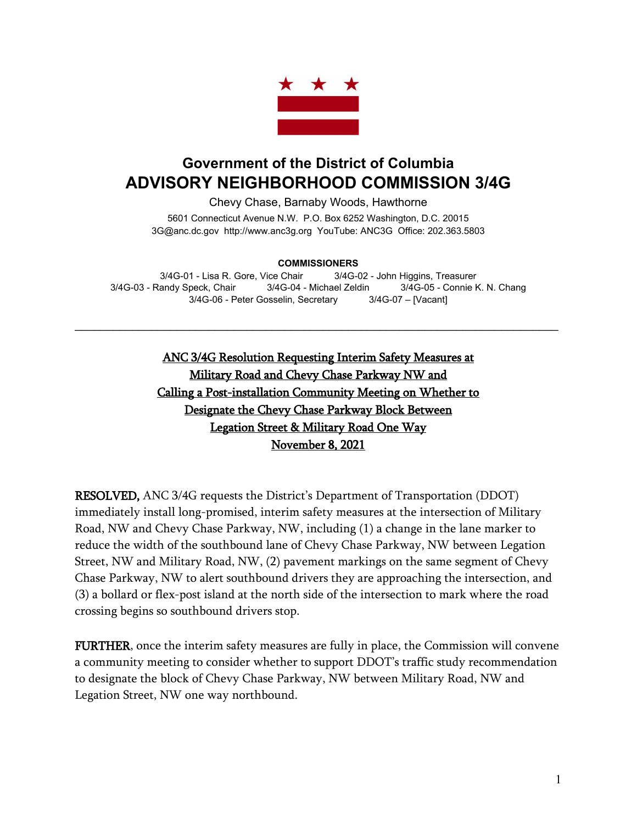

## **Government of the District of Columbia ADVISORY NEIGHBORHOOD COMMISSION 3/4G**

Chevy Chase, Barnaby Woods, Hawthorne

5601 Connecticut Avenue N.W. P.O. Box 6252 Washington, D.C. 20015 3G@anc.dc.gov [http://www.anc3g.org](http://www.anc3g.org/) YouTube: ANC3G Office: 202.363.5803

## **COMMISSIONERS**

3/4G-01 - Lisa R. Gore, Vice Chair 3/4G-02 - John Higgins, Treasurer 3/4G-03 - Randy Speck, Chair 3/4G-04 - Michael Zeldin 3/4G-05 - Connie K. N. Chang 3/4G-06 - Peter Gosselin, Secretary 3/4G-07 – [Vacant]

 $\mathcal{L}_\text{max}$  and  $\mathcal{L}_\text{max}$  and  $\mathcal{L}_\text{max}$  and  $\mathcal{L}_\text{max}$  and  $\mathcal{L}_\text{max}$  and  $\mathcal{L}_\text{max}$ 

ANC 3/4G Resolution Requesting Interim Safety Measures at Military Road and Chevy Chase Parkway NW and Calling a Post-installation Community Meeting on Whether to Designate the Chevy Chase Parkway Block Between Legation Street & Military Road One Way November 8, 2021

RESOLVED, ANC 3/4G requests the District's Department of Transportation (DDOT) immediately install long-promised, interim safety measures at the intersection of Military Road, NW and Chevy Chase Parkway, NW, including (1) a change in the lane marker to reduce the width of the southbound lane of Chevy Chase Parkway, NW between Legation Street, NW and Military Road, NW, (2) pavement markings on the same segment of Chevy Chase Parkway, NW to alert southbound drivers they are approaching the intersection, and (3) a bollard or flex-post island at the north side of the intersection to mark where the road crossing begins so southbound drivers stop.

FURTHER, once the interim safety measures are fully in place, the Commission will convene a community meeting to consider whether to support DDOT's traffic study recommendation to designate the block of Chevy Chase Parkway, NW between Military Road, NW and Legation Street, NW one way northbound.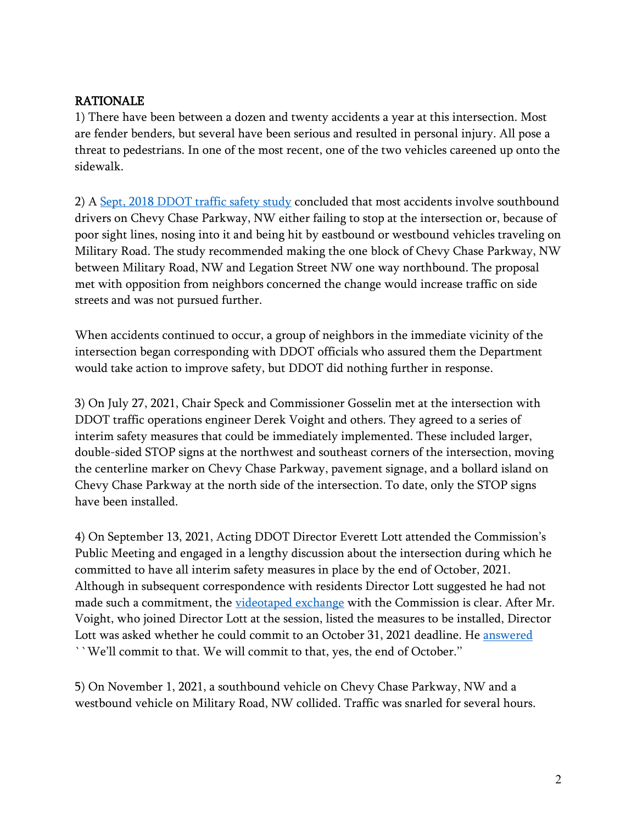## RATIONALE

1) There have been between a dozen and twenty accidents a year at this intersection. Most are fender benders, but several have been serious and resulted in personal injury. All pose a threat to pedestrians. In one of the most recent, one of the two vehicles careened up onto the sidewalk.

2) A [Sept, 2018 DDOT](https://img1.wsimg.com/blobby/go/1868db7b-2819-4c3e-b1fa-93a21df431db/downloads/1co90cpmu_888330.pdf?ver=1564745234286) traffic safety study concluded that most accidents involve southbound drivers on Chevy Chase Parkway, NW either failing to stop at the intersection or, because of poor sight lines, nosing into it and being hit by eastbound or westbound vehicles traveling on Military Road. The study recommended making the one block of Chevy Chase Parkway, NW between Military Road, NW and Legation Street NW one way northbound. The proposal met with opposition from neighbors concerned the change would increase traffic on side streets and was not pursued further.

When accidents continued to occur, a group of neighbors in the immediate vicinity of the intersection began corresponding with DDOT officials who assured them the Department would take action to improve safety, but DDOT did nothing further in response.

3) On July 27, 2021, Chair Speck and Commissioner Gosselin met at the intersection with DDOT traffic operations engineer Derek Voight and others. They agreed to a series of interim safety measures that could be immediately implemented. These included larger, double-sided STOP signs at the northwest and southeast corners of the intersection, moving the centerline marker on Chevy Chase Parkway, pavement signage, and a bollard island on Chevy Chase Parkway at the north side of the intersection. To date, only the STOP signs have been installed.

4) On September 13, 2021, Acting DDOT Director Everett Lott attended the Commission's Public Meeting and engaged in a lengthy discussion about the intersection during which he committed to have all interim safety measures in place by the end of October, 2021. Although in subsequent correspondence with residents Director Lott suggested he had not made such a commitment, the [videotaped](https://www.youtube.com/watch?v=dcMM3Jq6TPg&t=3972s) exchange with the Commission is clear. After Mr. Voight, who joined Director Lott at the session, listed the measures to be installed, Director Lott was asked whether he could commit to an October 31, 2021 deadline. He [answered](https://www.youtube.com/watch?v=dcMM3Jq6TPg&t=4021s) ``We'll commit to that. We will commit to that, yes, the end of October.''

5) On November 1, 2021, a southbound vehicle on Chevy Chase Parkway, NW and a westbound vehicle on Military Road, NW collided. Traffic was snarled for several hours.